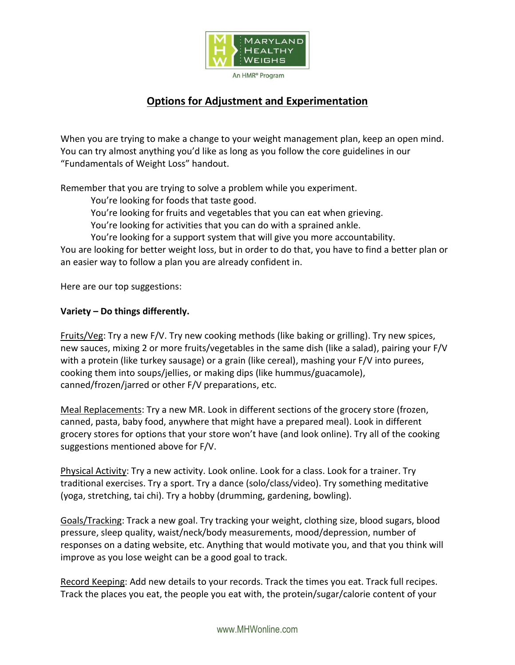

# **Options for Adjustment and Experimentation**

When you are trying to make a change to your weight management plan, keep an open mind. You can try almost anything you'd like as long as you follow the core guidelines in our "Fundamentals of Weight Loss" handout.

Remember that you are trying to solve a problem while you experiment.

You're looking for foods that taste good.

You're looking for fruits and vegetables that you can eat when grieving.

You're looking for activities that you can do with a sprained ankle.

You're looking for a support system that will give you more accountability.

You are looking for better weight loss, but in order to do that, you have to find a better plan or an easier way to follow a plan you are already confident in.

Here are our top suggestions:

## **Variety – Do things differently.**

Fruits/Veg: Try a new F/V. Try new cooking methods (like baking or grilling). Try new spices, new sauces, mixing 2 or more fruits/vegetables in the same dish (like a salad), pairing your F/V with a protein (like turkey sausage) or a grain (like cereal), mashing your F/V into purees, cooking them into soups/jellies, or making dips (like hummus/guacamole), canned/frozen/jarred or other F/V preparations, etc.

Meal Replacements: Try a new MR. Look in different sections of the grocery store (frozen, canned, pasta, baby food, anywhere that might have a prepared meal). Look in different grocery stores for options that your store won't have (and look online). Try all of the cooking suggestions mentioned above for F/V.

Physical Activity: Try a new activity. Look online. Look for a class. Look for a trainer. Try traditional exercises. Try a sport. Try a dance (solo/class/video). Try something meditative (yoga, stretching, tai chi). Try a hobby (drumming, gardening, bowling).

Goals/Tracking: Track a new goal. Try tracking your weight, clothing size, blood sugars, blood pressure, sleep quality, waist/neck/body measurements, mood/depression, number of responses on a dating website, etc. Anything that would motivate you, and that you think will improve as you lose weight can be a good goal to track.

Record Keeping: Add new details to your records. Track the times you eat. Track full recipes. Track the places you eat, the people you eat with, the protein/sugar/calorie content of your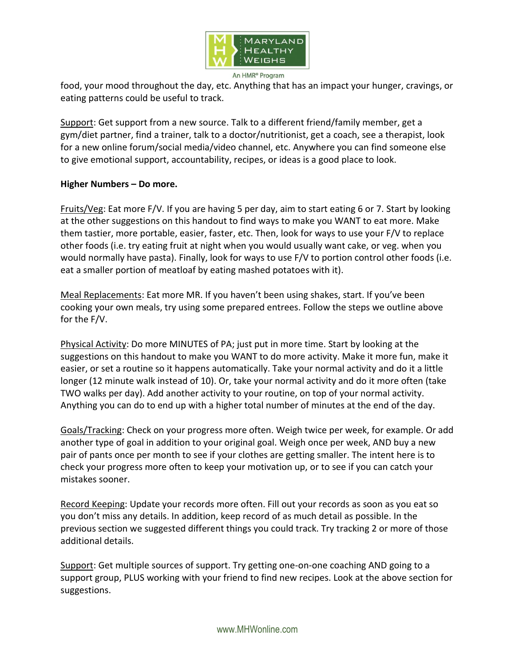

An HMR<sup>®</sup> Program

food, your mood throughout the day, etc. Anything that has an impact your hunger, cravings, or eating patterns could be useful to track.

Support: Get support from a new source. Talk to a different friend/family member, get a gym/diet partner, find a trainer, talk to a doctor/nutritionist, get a coach, see a therapist, look for a new online forum/social media/video channel, etc. Anywhere you can find someone else to give emotional support, accountability, recipes, or ideas is a good place to look.

## **Higher Numbers – Do more.**

Fruits/Veg: Eat more F/V. If you are having 5 per day, aim to start eating 6 or 7. Start by looking at the other suggestions on this handout to find ways to make you WANT to eat more. Make them tastier, more portable, easier, faster, etc. Then, look for ways to use your F/V to replace other foods (i.e. try eating fruit at night when you would usually want cake, or veg. when you would normally have pasta). Finally, look for ways to use F/V to portion control other foods (i.e. eat a smaller portion of meatloaf by eating mashed potatoes with it).

Meal Replacements: Eat more MR. If you haven't been using shakes, start. If you've been cooking your own meals, try using some prepared entrees. Follow the steps we outline above for the F/V.

Physical Activity: Do more MINUTES of PA; just put in more time. Start by looking at the suggestions on this handout to make you WANT to do more activity. Make it more fun, make it easier, or set a routine so it happens automatically. Take your normal activity and do it a little longer (12 minute walk instead of 10). Or, take your normal activity and do it more often (take TWO walks per day). Add another activity to your routine, on top of your normal activity. Anything you can do to end up with a higher total number of minutes at the end of the day.

Goals/Tracking: Check on your progress more often. Weigh twice per week, for example. Or add another type of goal in addition to your original goal. Weigh once per week, AND buy a new pair of pants once per month to see if your clothes are getting smaller. The intent here is to check your progress more often to keep your motivation up, or to see if you can catch your mistakes sooner.

Record Keeping: Update your records more often. Fill out your records as soon as you eat so you don't miss any details. In addition, keep record of as much detail as possible. In the previous section we suggested different things you could track. Try tracking 2 or more of those additional details.

Support: Get multiple sources of support. Try getting one-on-one coaching AND going to a support group, PLUS working with your friend to find new recipes. Look at the above section for suggestions.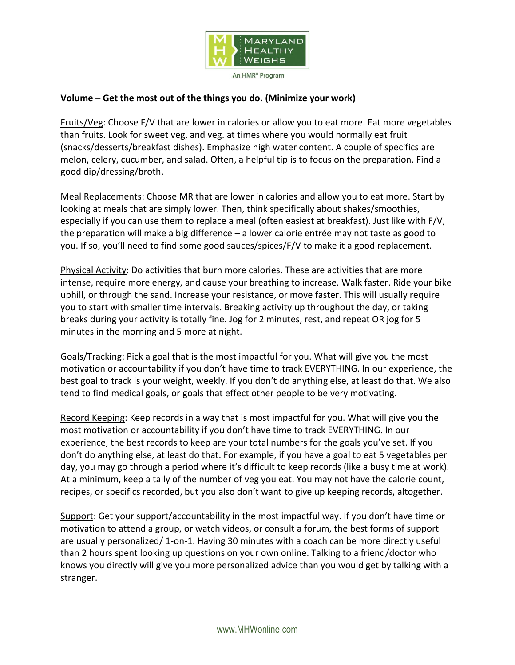

#### **Volume – Get the most out of the things you do. (Minimize your work)**

Fruits/Veg: Choose F/V that are lower in calories or allow you to eat more. Eat more vegetables than fruits. Look for sweet veg, and veg. at times where you would normally eat fruit (snacks/desserts/breakfast dishes). Emphasize high water content. A couple of specifics are melon, celery, cucumber, and salad. Often, a helpful tip is to focus on the preparation. Find a good dip/dressing/broth.

Meal Replacements: Choose MR that are lower in calories and allow you to eat more. Start by looking at meals that are simply lower. Then, think specifically about shakes/smoothies, especially if you can use them to replace a meal (often easiest at breakfast). Just like with F/V, the preparation will make a big difference – a lower calorie entrée may not taste as good to you. If so, you'll need to find some good sauces/spices/F/V to make it a good replacement.

Physical Activity: Do activities that burn more calories. These are activities that are more intense, require more energy, and cause your breathing to increase. Walk faster. Ride your bike uphill, or through the sand. Increase your resistance, or move faster. This will usually require you to start with smaller time intervals. Breaking activity up throughout the day, or taking breaks during your activity is totally fine. Jog for 2 minutes, rest, and repeat OR jog for 5 minutes in the morning and 5 more at night.

Goals/Tracking: Pick a goal that is the most impactful for you. What will give you the most motivation or accountability if you don't have time to track EVERYTHING. In our experience, the best goal to track is your weight, weekly. If you don't do anything else, at least do that. We also tend to find medical goals, or goals that effect other people to be very motivating.

Record Keeping: Keep records in a way that is most impactful for you. What will give you the most motivation or accountability if you don't have time to track EVERYTHING. In our experience, the best records to keep are your total numbers for the goals you've set. If you don't do anything else, at least do that. For example, if you have a goal to eat 5 vegetables per day, you may go through a period where it's difficult to keep records (like a busy time at work). At a minimum, keep a tally of the number of veg you eat. You may not have the calorie count, recipes, or specifics recorded, but you also don't want to give up keeping records, altogether.

Support: Get your support/accountability in the most impactful way. If you don't have time or motivation to attend a group, or watch videos, or consult a forum, the best forms of support are usually personalized/ 1-on-1. Having 30 minutes with a coach can be more directly useful than 2 hours spent looking up questions on your own online. Talking to a friend/doctor who knows you directly will give you more personalized advice than you would get by talking with a stranger.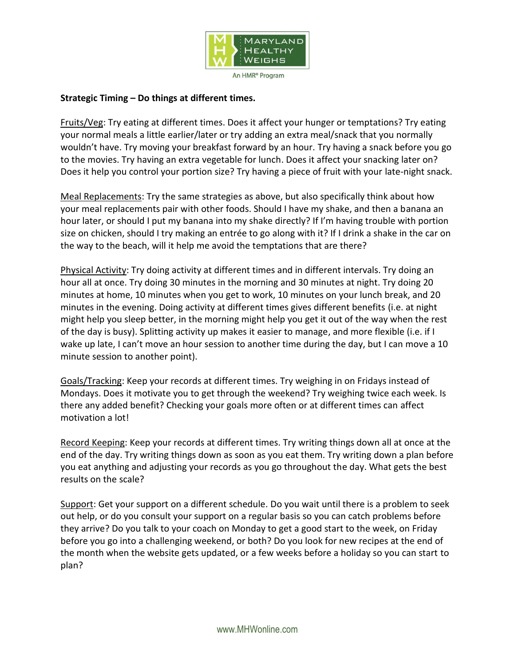

#### **Strategic Timing – Do things at different times.**

Fruits/Veg: Try eating at different times. Does it affect your hunger or temptations? Try eating your normal meals a little earlier/later or try adding an extra meal/snack that you normally wouldn't have. Try moving your breakfast forward by an hour. Try having a snack before you go to the movies. Try having an extra vegetable for lunch. Does it affect your snacking later on? Does it help you control your portion size? Try having a piece of fruit with your late-night snack.

Meal Replacements: Try the same strategies as above, but also specifically think about how your meal replacements pair with other foods. Should I have my shake, and then a banana an hour later, or should I put my banana into my shake directly? If I'm having trouble with portion size on chicken, should I try making an entrée to go along with it? If I drink a shake in the car on the way to the beach, will it help me avoid the temptations that are there?

Physical Activity: Try doing activity at different times and in different intervals. Try doing an hour all at once. Try doing 30 minutes in the morning and 30 minutes at night. Try doing 20 minutes at home, 10 minutes when you get to work, 10 minutes on your lunch break, and 20 minutes in the evening. Doing activity at different times gives different benefits (i.e. at night might help you sleep better, in the morning might help you get it out of the way when the rest of the day is busy). Splitting activity up makes it easier to manage, and more flexible (i.e. if I wake up late, I can't move an hour session to another time during the day, but I can move a 10 minute session to another point).

Goals/Tracking: Keep your records at different times. Try weighing in on Fridays instead of Mondays. Does it motivate you to get through the weekend? Try weighing twice each week. Is there any added benefit? Checking your goals more often or at different times can affect motivation a lot!

Record Keeping: Keep your records at different times. Try writing things down all at once at the end of the day. Try writing things down as soon as you eat them. Try writing down a plan before you eat anything and adjusting your records as you go throughout the day. What gets the best results on the scale?

Support: Get your support on a different schedule. Do you wait until there is a problem to seek out help, or do you consult your support on a regular basis so you can catch problems before they arrive? Do you talk to your coach on Monday to get a good start to the week, on Friday before you go into a challenging weekend, or both? Do you look for new recipes at the end of the month when the website gets updated, or a few weeks before a holiday so you can start to plan?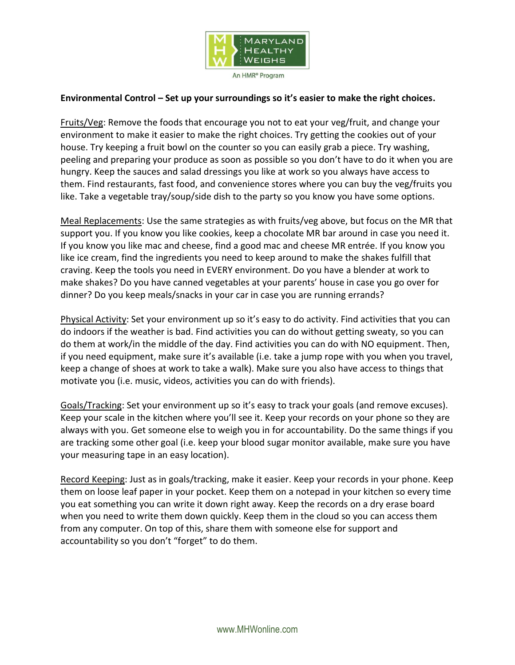

#### **Environmental Control – Set up your surroundings so it's easier to make the right choices.**

Fruits/Veg: Remove the foods that encourage you not to eat your veg/fruit, and change your environment to make it easier to make the right choices. Try getting the cookies out of your house. Try keeping a fruit bowl on the counter so you can easily grab a piece. Try washing, peeling and preparing your produce as soon as possible so you don't have to do it when you are hungry. Keep the sauces and salad dressings you like at work so you always have access to them. Find restaurants, fast food, and convenience stores where you can buy the veg/fruits you like. Take a vegetable tray/soup/side dish to the party so you know you have some options.

Meal Replacements: Use the same strategies as with fruits/veg above, but focus on the MR that support you. If you know you like cookies, keep a chocolate MR bar around in case you need it. If you know you like mac and cheese, find a good mac and cheese MR entrée. If you know you like ice cream, find the ingredients you need to keep around to make the shakes fulfill that craving. Keep the tools you need in EVERY environment. Do you have a blender at work to make shakes? Do you have canned vegetables at your parents' house in case you go over for dinner? Do you keep meals/snacks in your car in case you are running errands?

Physical Activity: Set your environment up so it's easy to do activity. Find activities that you can do indoors if the weather is bad. Find activities you can do without getting sweaty, so you can do them at work/in the middle of the day. Find activities you can do with NO equipment. Then, if you need equipment, make sure it's available (i.e. take a jump rope with you when you travel, keep a change of shoes at work to take a walk). Make sure you also have access to things that motivate you (i.e. music, videos, activities you can do with friends).

Goals/Tracking: Set your environment up so it's easy to track your goals (and remove excuses). Keep your scale in the kitchen where you'll see it. Keep your records on your phone so they are always with you. Get someone else to weigh you in for accountability. Do the same things if you are tracking some other goal (i.e. keep your blood sugar monitor available, make sure you have your measuring tape in an easy location).

Record Keeping: Just as in goals/tracking, make it easier. Keep your records in your phone. Keep them on loose leaf paper in your pocket. Keep them on a notepad in your kitchen so every time you eat something you can write it down right away. Keep the records on a dry erase board when you need to write them down quickly. Keep them in the cloud so you can access them from any computer. On top of this, share them with someone else for support and accountability so you don't "forget" to do them.